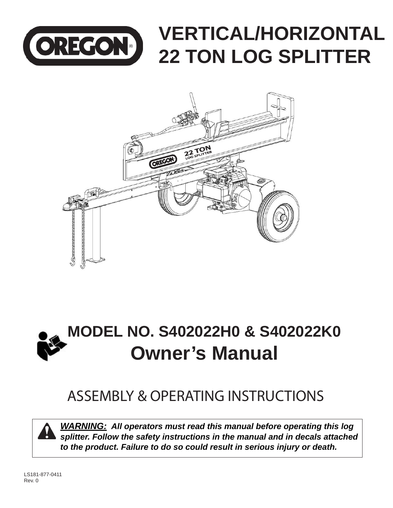

# **VERTICAL/HORIZONTAL 22 TON LOG SPLITTER**





## ASSEMBLY & OPERATING INSTRUCTIONS

*WARNING: All operators must read this manual before operating this log splitter. Follow the safety instructions in the manual and in decals attached to the product. Failure to do so could result in serious injury or death.*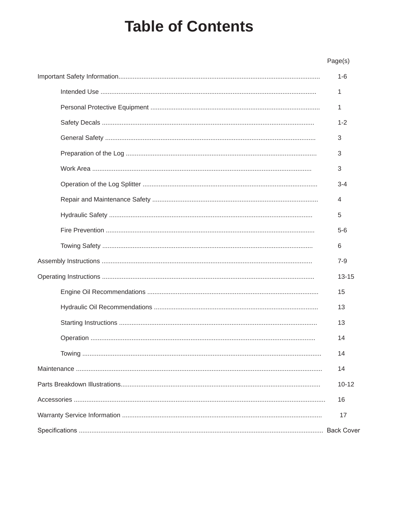## **Table of Contents**

#### Page(s)

| $1 - 6$   |
|-----------|
| 1         |
| 1         |
| $1 - 2$   |
| 3         |
| 3         |
| 3         |
| $3 - 4$   |
| 4         |
| 5         |
| $5-6$     |
| 6         |
| $7 - 9$   |
| $13 - 15$ |
| 15        |
| 13        |
| 13        |
| 14        |
| 14        |
| 14        |
| $10 - 12$ |
| 16        |
| 17        |
|           |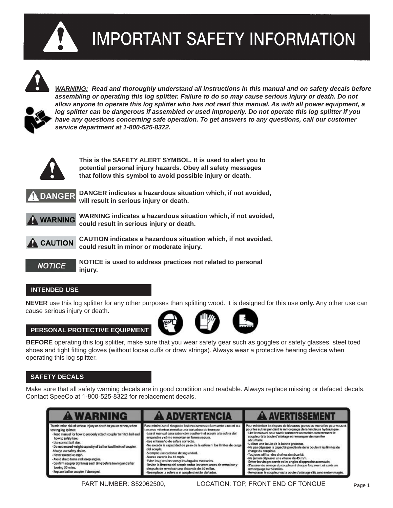



*WARNING: Read and thoroughly understand all instructions in this manual and on safety decals before assembling or operating this log splitter. Failure to do so may cause serious injury or death. Do not allow anyone to operate this log splitter who has not read this manual. As with all power equipment, a log splitter can be dangerous if assembled or used improperly. Do not operate this log splitter if you have any questions concerning safe operation. To get answers to any questions, call our customer service department at 1-800-525-8322.*



**This is the SAFETY ALERT SYMBOL. It is used to alert you to potential personal injury hazards. Obey all safety messages that follow this symbol to avoid possible injury or death.** 



**DANGER indicates a hazardous situation which, if not avoided, will result in serious injury or death.**



**WARNING indicates a hazardous situation which, if not avoided, could result in serious injury or death.**



**CAUTION indicates a hazardous situation which, if not avoided, could result in minor or moderate injury.**

**NOTICE** 

**NOTICE is used to address practices not related to personal injury.**

#### **INTENDED USE**

**NEVER** use this log splitter for any other purposes than splitting wood. It is designed for this use **only.** Any other use can cause serious injury or death.

#### **PERSONAL PROTECTIVE EQUIPMENT**



**BEFORE** operating this log splitter, make sure that you wear safety gear such as goggles or safety glasses, steel toed shoes and tight fitting gloves (without loose cuffs or draw strings). Always wear a protective hearing device when operating this log splitter.

#### **SAFETY DECALS**

Make sure that all safety warning decals are in good condition and readable. Always replace missing or defaced decals. Contact SpeeCo at 1-800-525-8322 for replacement decals.

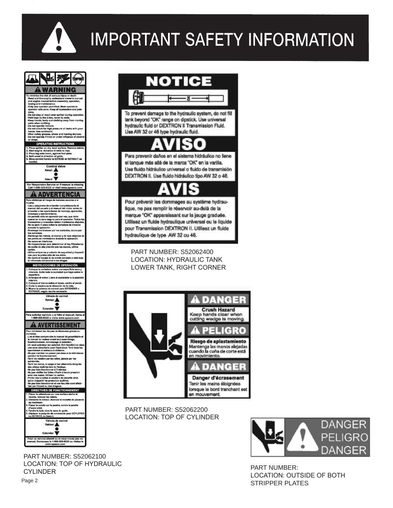



PART NUMBER: S52062100 LOCATION: TOP OF HYDRAULIC CYLINDER



PART NUMBER: S52062200 LOCATION: TOP OF CYLINDER



PART NUMBER: LOCATION: OUTSIDE OF BOTH STRIPPER PLATES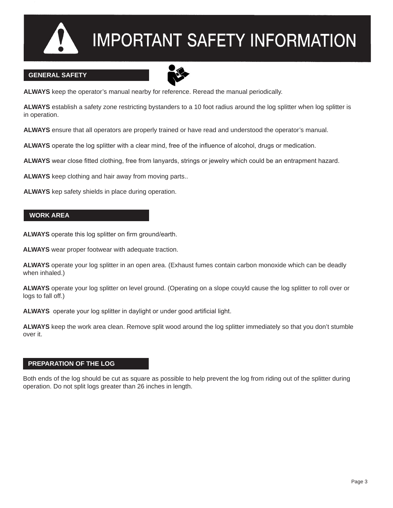

#### **GENERAL SAFETY**



**ALWAYS** keep the operator's manual nearby for reference. Reread the manual periodically.

**ALWAYS** establish a safety zone restricting bystanders to a 10 foot radius around the log splitter when log splitter is in operation.

**ALWAYS** ensure that all operators are properly trained or have read and understood the operator's manual.

**ALWAYS** operate the log splitter with a clear mind, free of the influence of alcohol, drugs or medication.

**ALWAYS** wear close fitted clothing, free from lanyards, strings or jewelry which could be an entrapment hazard.

**ALWAYS** keep clothing and hair away from moving parts..

**ALWAYS** kep safety shields in place during operation.

#### **WORK AREA**

**ALWAYS** operate this log splitter on firm ground/earth.

**ALWAYS** wear proper footwear with adequate traction.

**ALWAYS** operate your log splitter in an open area. (Exhaust fumes contain carbon monoxide which can be deadly when inhaled.)

**ALWAYS** operate your log splitter on level ground. (Operating on a slope couyld cause the log splitter to roll over or logs to fall off.)

**ALWAYS** operate your log splitter in daylight or under good artificial light.

**ALWAYS** keep the work area clean. Remove split wood around the log splitter immediately so that you don't stumble over it.

#### **PREPARATION OF THE LOG**

Both ends of the log should be cut as square as possible to help prevent the log from riding out of the splitter during operation. Do not split logs greater than 26 inches in length.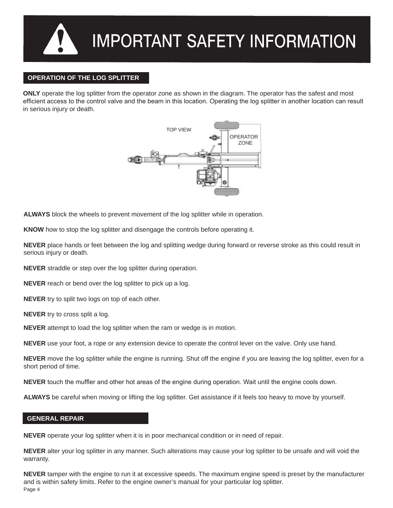

#### **OPERATION OF THE LOG SPLITTER**

**ONLY** operate the log splitter from the operator zone as shown in the diagram. The operator has the safest and most efficient access to the control valve and the beam in this location. Operating the log splitter in another location can result in serious injury or death.



**ALWAYS** block the wheels to prevent movement of the log splitter while in operation.

**KNOW** how to stop the log splitter and disengage the controls before operating it.

**NEVER** place hands or feet between the log and splitting wedge during forward or reverse stroke as this could result in serious injury or death.

**NEVER** straddle or step over the log splitter during operation.

**NEVER** reach or bend over the log splitter to pick up a log.

**NEVER** try to split two logs on top of each other.

**NEVER** try to cross split a log.

**NEVER** attempt to load the log splitter when the ram or wedge is in motion.

**NEVER** use your foot, a rope or any extension device to operate the control lever on the valve. Only use hand.

**NEVER** move the log splitter while the engine is running. Shut off the engine if you are leaving the log splitter, even for a short period of time.

**NEVER** touch the muffler and other hot areas of the engine during operation. Wait until the engine cools down.

**ALWAYS** be careful when moving or lifting the log splitter. Get assistance if it feels too heavy to move by yourself.

#### **GENERAL REPAIR**

**NEVER** operate your log splitter when it is in poor mechanical condition or in need of repair.

**NEVER** alter your log splitter in any manner. Such alterations may cause your log splitter to be unsafe and will void the warranty.

**NEVER** tamper with the engine to run it at excessive speeds. The maximum engine speed is preset by the manufacturer and is within safety limits. Refer to the engine owner's manual for your particular log splitter. Page 4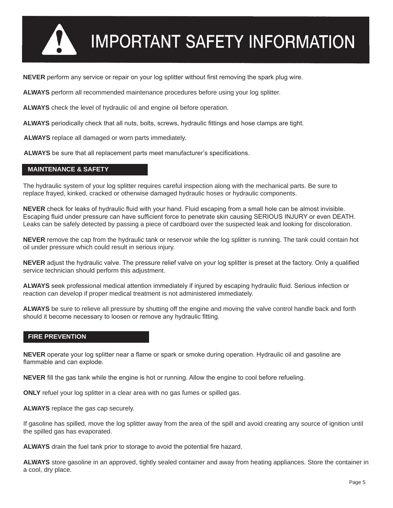

**NEVER** perform any service or repair on your log splitter without first removing the spark plug wire.

**ALWAYS** perform all recommended maintenance procedures before using your log splitter.

**ALWAYS** check the level of hydraulic oil and engine oil before operation.

**ALWAYS** periodically check that all nuts, bolts, screws, hydraulic fittings and hose clamps are tight.

**ALWAYS** replace all damaged or worn parts immediately.

**ALWAYS** be sure that all replacement parts meet manufacturer's specifications.

#### **MAINTENANCE & SAFETY**

The hydraulic system of your log splitter requires careful inspection along with the mechanical parts. Be sure to replace frayed, kinked, cracked or otherwise damaged hydraulic hoses or hydraulic components.

**NEVER** check for leaks of hydraulic fluid with your hand. Fluid escaping from a small hole can be almost invisible. Escaping fluid under pressure can have sufficient force to penetrate skin causing SERIOUS INJURY or even DEATH. Leaks can be safely detected by passing a piece of cardboard over the suspected leak and looking for discoloration.

**NEVER** remove the cap from the hydraulic tank or reservoir while the log splitter is running. The tank could contain hot oil under pressure which could result in serious injury.

**NEVER** adjust the hydraulic valve. The pressure relief valve on your log splitter is preset at the factory. Only a qualified service technician should perform this adjustment.

**ALWAYS** seek professional medical attention immediately if injured by escaping hydraulic fluid. Serious infection or reaction can develop if proper medical treatment is not administered immediately.

**ALWAYS** be sure to relieve all pressure by shutting off the engine and moving the valve control handle back and forth should it become necessary to loosen or remove any hydraulic fitting.

#### **FIRE PREVENTION**

**NEVER** operate your log splitter near a flame or spark or smoke during operation. Hydraulic oil and gasoline are flammable and can explode.

**NEVER** fill the gas tank while the engine is hot or running. Allow the engine to cool before refueling.

**ONLY** refuel your log splitter in a clear area with no gas fumes or spilled gas.

**ALWAYS** replace the gas cap securely.

If gasoline has spilled, move the log splitter away from the area of the spill and avoid creating any source of ignition until the spilled gas has evaporated.

**ALWAYS** drain the fuel tank prior to storage to avoid the potential fire hazard.

**ALWAYS** store gasoline in an approved, tightly sealed container and away from heating appliances. Store the container in a cool, dry place.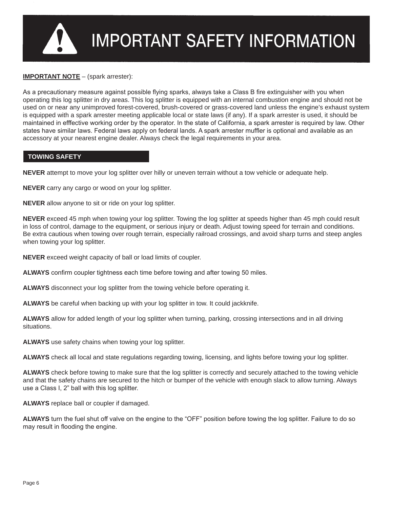

#### **IMPORTANT NOTE** – (spark arrester):

As a precautionary measure against possible flying sparks, always take a Class B fire extinguisher with you when operating this log splitter in dry areas. This log splitter is equipped with an internal combustion engine and should not be used on or near any unimproved forest-covered, brush-covered or grass-covered land unless the engine's exhaust system is equipped with a spark arrester meeting applicable local or state laws (if any). If a spark arrester is used, it should be maintained in efffective working order by the operator. In the state of California, a spark arrester is required by law. Other states have similar laws. Federal laws apply on federal lands. A spark arrester muffler is optional and available as an accessory at your nearest engine dealer. Always check the legal requirements in your area.

#### **TOWING SAFETY**

**NEVER** attempt to move your log splitter over hilly or uneven terrain without a tow vehicle or adequate help.

**NEVER** carry any cargo or wood on your log splitter.

**NEVER** allow anyone to sit or ride on your log splitter.

**NEVER** exceed 45 mph when towing your log splitter. Towing the log splitter at speeds higher than 45 mph could result in loss of control, damage to the equipment, or serious injury or death. Adjust towing speed for terrain and conditions. Be extra cautious when towing over rough terrain, especially railroad crossings, and avoid sharp turns and steep angles when towing your log splitter.

**NEVER** exceed weight capacity of ball or load limits of coupler.

**ALWAYS** confirm coupler tightness each time before towing and after towing 50 miles.

**ALWAYS** disconnect your log splitter from the towing vehicle before operating it.

**ALWAYS** be careful when backing up with your log splitter in tow. It could jackknife.

**ALWAYS** allow for added length of your log splitter when turning, parking, crossing intersections and in all driving situations.

**ALWAYS** use safety chains when towing your log splitter.

**ALWAYS** check all local and state regulations regarding towing, licensing, and lights before towing your log splitter.

**ALWAYS** check before towing to make sure that the log splitter is correctly and securely attached to the towing vehicle and that the safety chains are secured to the hitch or bumper of the vehicle with enough slack to allow turning. Always use a Class I, 2" ball with this log splitter.

**ALWAYS** replace ball or coupler if damaged.

**ALWAYS** turn the fuel shut off valve on the engine to the "OFF" position before towing the log splitter. Failure to do so may result in flooding the engine.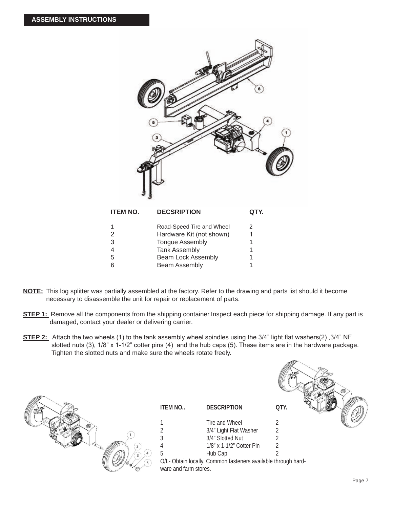

| <b>ITEM NO.</b> | <b>DECSRIPTION</b>        |   |
|-----------------|---------------------------|---|
|                 | Road-Speed Tire and Wheel | 2 |
| $\mathcal{P}$   | Hardware Kit (not shown)  |   |
| 3               | <b>Tongue Assembly</b>    |   |
|                 | <b>Tank Assembly</b>      |   |
| 5               | <b>Beam Lock Assembly</b> |   |
|                 | <b>Beam Assembly</b>      |   |
|                 |                           |   |

- **NOTE:** This log splitter was partially assembled at the factory. Refer to the drawing and parts list should it become necessary to disassemble the unit for repair or replacement of parts.
- **STEP 1:** Remove all the components from the shipping container.Inspect each piece for shipping damage. If any part is damaged, contact your dealer or delivering carrier.
- **STEP 2:** Attach the two wheels (1) to the tank assembly wheel spindles using the 3/4" light flat washers(2) ,3/4" NF slotted nuts (3), 1/8" x 1-1/2" cotter pins (4) and the hub caps (5). These items are in the hardware package. Tighten the slotted nuts and make sure the wheels rotate freely.



**ITEM NO.. DESCRIPTION QTY.** 1 Tire and Wheel 2<br>2 3/4" Light Flat Washer 2 2 3/4" Light Flat Washer 2<br>3 3/4" Slotted Nut 2  $3/4$ " Slotted Nut 2<br> $1/8$ " x 1-1/2" Cotter Pin 2 4 1/8" x 1-1/2" Cotter Pin 2<br>5 Hub Cap 2 5 Hub Cap 2 O/L- Obtain locally. Common fasteners available through hardware and farm stores.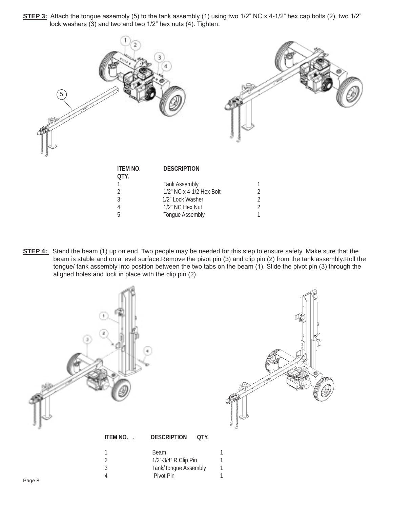**STEP 3:** Attach the tongue assembly (5) to the tank assembly (1) using two 1/2" NC x 4-1/2" hex cap bolts (2), two 1/2" lock washers (3) and two and two 1/2" hex nuts (4). Tighten.



**STEP 4:** Stand the beam (1) up on end. Two people may be needed for this step to ensure safety. Make sure that the beam is stable and on a level surface.Remove the pivot pin (3) and clip pin (2) from the tank assembly.Roll the tongue/ tank assembly into position between the two tabs on the beam (1). Slide the pivot pin (3) through the aligned holes and lock in place with the clip pin (2).

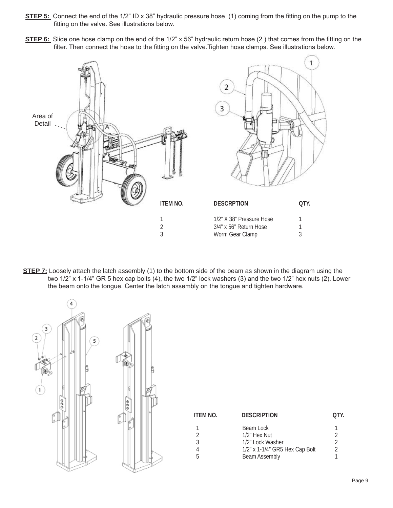- **STEP 5:** Connect the end of the 1/2" ID x 38" hydraulic pressure hose (1) coming from the fitting on the pump to the fitting on the valve. See illustrations below.
- **STEP 6:** Slide one hose clamp on the end of the 1/2" x 56" hydraulic return hose (2) that comes from the fitting on the filter. Then connect the hose to the fitting on the valve.Tighten hose clamps. See illustrations below.



**STEP 7:** Loosely attach the latch assembly (1) to the bottom side of the beam as shown in the diagram using the two 1/2" x 1-1/4" GR 5 hex cap bolts (4), the two 1/2" lock washers (3) and the two 1/2" hex nuts (2). Lower the beam onto the tongue. Center the latch assembly on the tongue and tighten hardware.



| <b>ITEM NO.</b> | <b>DESCRIPTION</b>             | OIY |
|-----------------|--------------------------------|-----|
|                 | Beam Lock                      |     |
|                 | 1/2" Hex Nut                   |     |
|                 | 1/2" Lock Washer               |     |
|                 | 1/2" x 1-1/4" GR5 Hex Cap Bolt |     |
|                 | <b>Beam Assembly</b>           |     |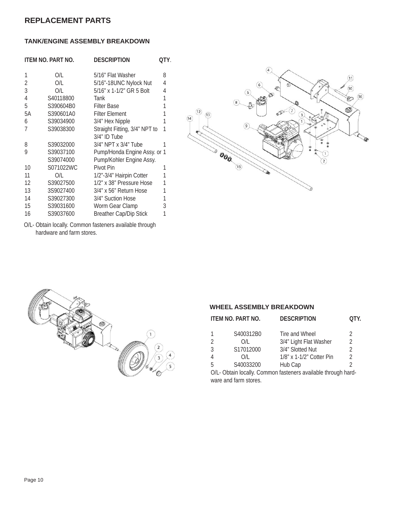#### **REPLACEMENT PARTS**

#### **TANK/ENGINE ASSEMBLY BREAKDOWN**

|    | ITEM NO. PART NO. | <b>DESCRIPTION</b>            | OTY. |
|----|-------------------|-------------------------------|------|
| 1  | O/L               | 5/16" Flat Washer             | 8    |
| 2  | O/L               | 5/16"-18UNC Nylock Nut        | 4    |
| 3  | 0/L               | 5/16" x 1-1/2" GR 5 Bolt      | 4    |
| 4  | S40118800         | Tank                          |      |
| 5  | S390604B0         | <b>Filter Base</b>            |      |
| 5A | S390601A0         | <b>Filter Element</b>         |      |
| 6  | S39034900         | 3/4" Hex Nipple               |      |
| 7  | S39038300         | Straight Fitting, 3/4" NPT to | 1    |
|    |                   | 3/4" ID Tube                  |      |
| 8  | S39032000         | 3/4" NPT x 3/4" Tube          |      |
| 9  | S39037100         | Pump/Honda Engine Assy. or 1  |      |
|    | S39074000         | Pump/Kohler Engine Assy.      |      |
| 10 | S071022WC         | Pivot Pin                     | 1    |
| 11 | O/L               | 1/2"-3/4" Hairpin Cotter      |      |
| 12 | S39027500         | 1/2" x 38" Pressure Hose      |      |
| 13 | 3S9027400         | 3/4" x 56" Return Hose        |      |
| 14 | S39027300         | 3/4" Suction Hose             |      |
| 15 | S39031600         | Worm Gear Clamp               | 3    |
| 16 | S39037600         | <b>Breather Cap/Dip Stick</b> | 1    |



O/L- Obtain locally. Common fasteners available through hardware and farm stores.



#### **WHEEL ASSEMBLY BREAKDOWN**

|               | ITEM NO. PART NO. | <b>DESCRIPTION</b>       | OTY.           |
|---------------|-------------------|--------------------------|----------------|
|               | S400312B0         | Tire and Wheel           | 2              |
| $\mathcal{D}$ | O/I               | 3/4" Light Flat Washer   | 2              |
| 3             | S17012000         | 3/4" Slotted Nut         | 2              |
|               | O/I               | 1/8" x 1-1/2" Cotter Pin | $\mathfrak{D}$ |
| -5            | S40033200         | Hub Cap                  |                |
|               |                   |                          |                |

O/L- Obtain locally. Common fasteners available through hardware and farm stores.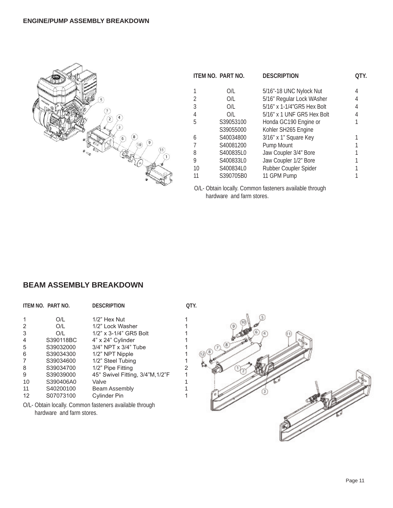

|           | <b>DESCRIPTION</b>          |   |
|-----------|-----------------------------|---|
| O/L       | 5/16"-18 UNC Nylock Nut     | 4 |
| O/L       | 5/16" Regular Lock WAsher   |   |
| O/L       | 5/16" x 1-1/4" GR5 Hex Bolt | 4 |
| O/I       | 5/16" x 1 UNF GR5 Hex Bolt  |   |
| S39053100 | Honda GC190 Engine or       |   |
| S39055000 | Kohler SH265 Engine         |   |
| S40034800 | 3/16" x 1" Square Key       |   |
| S40081200 | Pump Mount                  |   |
| S400835L0 | Jaw Coupler 3/4" Bore       |   |
| S400833L0 | Jaw Coupler 1/2" Bore       |   |
| S400834L0 | Rubber Coupler Spider       |   |
| S390705B0 | 11 GPM Pump                 |   |
|           | ITEM NO. PART NO.           |   |

O/L- Obtain locally. Common fasteners available through hardware and farm stores.

#### **BEAM ASSEMBLY BREAKDOWN**

|    | ITEM NO. PART NO. | <b>DESCRIPTION</b>               | QTY. |  |
|----|-------------------|----------------------------------|------|--|
|    | O/L               | 1/2" Hex Nut                     |      |  |
| 2  | O/L               | 1/2" Lock Washer                 |      |  |
| 3  | O/L               | 1/2" x 3-1/4" GR5 Bolt           |      |  |
| 4  | S390118BC         | 4" x 24" Cylinder                |      |  |
| 5  | S39032000         | 3/4" NPT x 3/4" Tube             |      |  |
| 6  | S39034300         | 1/2" NPT Nipple                  |      |  |
|    | S39034600         | 1/2" Steel Tubing                |      |  |
| 8  | S39034700         | 1/2" Pipe Fitting                | 2    |  |
| 9  | S39039000         | 45° Swivel Fitting, 3/4"M, 1/2"F |      |  |
| 10 | S390406A0         | Valve                            |      |  |
| 11 | S40200100         | <b>Beam Assembly</b>             |      |  |
| 12 | S07073100         | <b>Cylinder Pin</b>              |      |  |
|    |                   |                                  |      |  |

O/L- Obtain locally. Common fasteners available through hardware and farm stores.

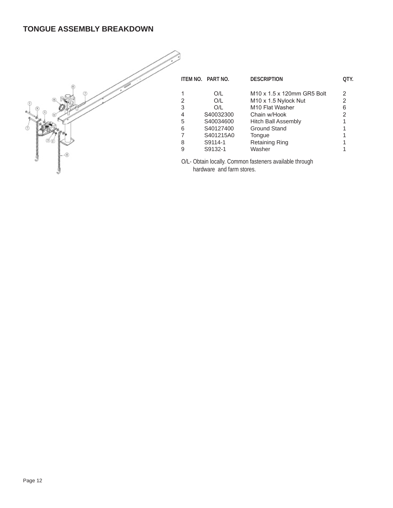#### **TONGUE ASSEMBLY BREAKDOWN**

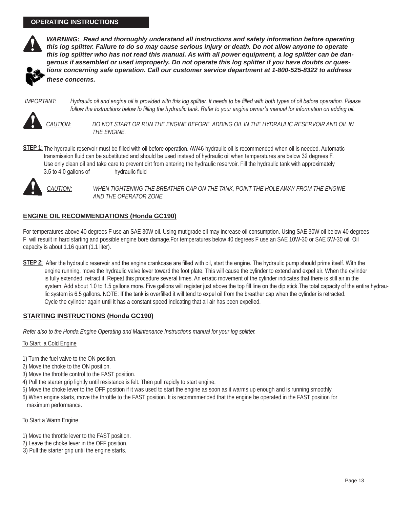#### **OPERATING INSTRUCTIONS**



*WARNING: Read and thoroughly understand all instructions and safety information before operating this log splitter. Failure to do so may cause serious injury or death. Do not allow anyone to operate this log splitter who has not read this manual. As with all power equipment, a log splitter can be dangerous if assembled or used improperly. Do not operate this log splitter if you have doubts or questions concerning safe operation. Call our customer service department at 1-800-525-8322 to address these concerns.*



*Hydraulic oil and engine oil is provided with this log splitter. It needs to be filled with both types of oil before operation. Please follow the instructions below fo filling the hydraulic tank. Refer to your engine owner's manual for information on adding oil.*



*IMPORTANT:*

*CAUTION: DO NOT START OR RUN THE ENGINE BEFORE ADDING OIL IN THE HYDRAULIC RESERVOIR AND OIL IN THE ENGINE.*

STEP 1: The hydraulic reservoir must be filled with oil before operation. AW46 hydraulic oil is recommended when oil is needed. Automatic transmission fluid can be substituted and should be used instead of hydraulic oil when temperatures are below 32 degrees F. Use only clean oil and take care to prevent dirt from entering the hydraulic reservoir. Fill the hydraulic tank with approximately 3.5 to 4.0 gallons of hydraulic fluid



*CAUTION: WHEN TIGHTENING THE BREATHER CAP ON THE TANK, POINT THE HOLE AWAY FROM THE ENGINE AND THE OPERATOR ZONE.*

#### **ENGINE OIL RECOMMENDATIONS (Honda GC190)**

For temperatures above 40 degrees F use an SAE 30W oil. Using mutigrade oil may increase oil consumption. Using SAE 30W oil below 40 degrees F will resuilt in hard starting and possible engine bore damage.For temperatures below 40 degrees F use an SAE 10W-30 or SAE 5W-30 oil. Oil capacity is about 1.16 quart (1.1 liter).

**STEP 2:** After the hydraulic reservoir and the engine crankcase are filled with oil, start the engine. The hydraulic pump should prime itself. With the engine running, move the hydraulic valve lever toward the foot plate. This will cause the cylinder to extend and expel air. When the cylinder is fully extended, retract it. Repeat this procedure several times. An erratic movement of the cylinder indicates that there is still air in the system. Add about 1.0 to 1.5 gallons more. Five gallons will register just above the top fill line on the dip stick. The total capacity of the entire hydraulic system is 6.5 gallons. NOTE: If the tank is overfilled it will tend to expel oil from the breather cap when the cylinder is retracted. Cycle the cylinder again until it has a constant speed indicating that all air has been expelled.

#### **STARTING INSTRUCTIONS (Honda GC190)**

*Refer also to the Honda Engine Operating and Maintenance Instructions manual for your log splitter.*

#### To Start a Cold Engine

- 1) Turn the fuel valve to the ON position.
- 2) Move the choke to the ON position.
- 3) Move the throttle control to the FAST position.
- 4) Pull the starter grip lightly until resistance is felt. Then pull rapidly to start engine.
- 5) Move the choke lever to the OFF position if it was used to start the engine as soon as it warms up enough and is running smoothly.
- 6) When engine starts, move the throttle to the FAST position. It is recommmended that the engine be operated in the FAST position for maximum performance.

#### To Start a Warm Engine

- 1) Move the throttle lever to the FAST position.
- 2) Leave the choke lever in the OFF position.
- 3) Pull the starter grip until the engine starts.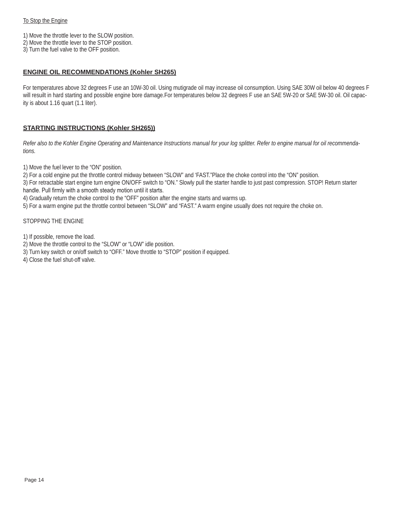#### To Stop the Engine

1) Move the throttle lever to the SLOW position.

2) Move the throttle lever to the STOP position.

3) Turn the fuel valve to the OFF position.

#### **ENGINE OIL RECOMMENDATIONS (Kohler SH265)**

For temperatures above 32 degrees F use an 10W-30 oil. Using mutigrade oil may increase oil consumption. Using SAE 30W oil below 40 degrees F will resuilt in hard starting and possible engine bore damage.For temperatures below 32 degrees F use an SAE 5W-20 or SAE 5W-30 oil. Oil capacity is about 1.16 quart (1.1 liter).

#### **STARTING INSTRUCTIONS (Kohler SH265))**

*Refer also to the Kohler Engine Operating and Maintenance Instructions manual for your log splitter. Refer to engine manual for oil recommendations.*

1) Move the fuel lever to the "ON" position.

2) For a cold engine put the throttle control midway between "SLOW" and 'FAST."Place the choke control into the "ON" position.

3) For retractable start engine turn engine ON/OFF switch to "ON." Slowly pull the starter handle to just past compression. STOP! Return starter handle. Pull firmly with a smooth steady motion until it starts.

4) Gradually return the choke control to the "OFF" position after the engine starts and warms up.

5) For a warm engine put the throttle control between "SLOW" and "FAST." A warm engine usually does not require the choke on.

STOPPING THE ENGINE

1) If possible, remove the load.

2) Move the throttle control to the "SLOW" or "LOW" idle position.

3) Turn key switch or on/off switch to "OFF." Move throttle to "STOP" position if equipped.

4) Close the fuel shut-off valve.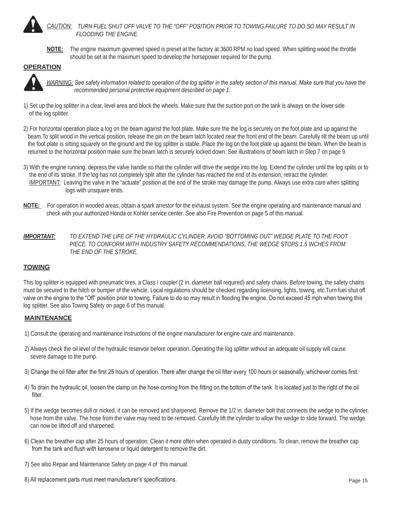

**NOTE:** The engine maximum governed speed is preset at the factory at 3600 RPM no load speed. When splitting wood the throttle should be set at the maximum speed to develop the horsepower required for the pump.

#### **OPERATION**



*WARNING: See safety information related to operation of the log splitter in the safety section of this manual. Make sure that you have the recommended personal protective equipment described on page 1.*

- 1) Set up the log splitter in a clear, level area and block the wheels. Make sure that the suction port on the tank is always on the lower side of the log splitter.
- 2) For horizontal operation place a log on the beam against the foot plate. Make sure the the log is securely on the foot plate and up against the beam.To split wood in the vertical position, release the pin on the beam latch located near the front end of the beam. Carefully tilt the beam up until the foot plate is sitting squarely on the ground and the log splitter is stable. Place the log on the foot plate up against the beam. When the beam is returned to the horizontal position make sure the beam latch is securely locked down. See illustrations of beam latch in Step 7 on page 9.
- 3) With the engine running, depress the valve handle so that the cylinder will drive the wedge into the log. Extend the cylinder until the log splits or to the end of its stroke. If the log has not completely split after the cylinder has reached the end of its extension, retract the cylinder. IMPORTANT: Leaving the valve in the "actuate" position at the end of the stroke may damage the pump. Always use extra care when splitting logs with unsquare ends.
- **NOTE:** For operation in wooded areas, obtain a spark arrestor for the exhaust system. See the engine operating and maintenance manual and check with your authorized Honda or Kohler service center. See also Fire Prevention on page 5 of this manual.
- *IMPORTANT: TO EXTEND THE LIFE OF THE HYDRAULIC CYLINDER, AVOID "BOTTOMING OUT" WEDGE PLATE TO THE FOOT PIECE. TO CONFORM WITH INDUSTRY SAFETY RECOMMENDATIONS, THE WEDGE STOPS 1.5 INCHES FROM THE END OF THE STROKE.*

#### **TOWING**

This log splitter is equipped with pneumatic tires, a Class I coupler (2 in. diameter ball required) and safety chains. Before towing, the safety chains must be secured to the hitch or bumper of the vehicle. Local regulations should be checked regarding licensing, lights, towing, etc.Turn fuel shut off valve on the engine to the "Off" position prior to towing. Failure to do so may result in flooding the engine. Do not exceed 45 mph when towing this log splitter. See also Towing Safety on page 6 of this manual.

#### **MAINTENANCE**

- 1) Consult the operating and maintenance instructions of the engine manufacturer for engine care and maintenance.
- 2) Always check the oil level of the hydraulic reservoir before operation. Operating the log splitter without an adequate oil supply will cause severe damage to the pump.
- 3) Change the oil filter after the first 25 hours of operation. There after change the oil filter every 100 hours or seasonally, whichever comes first.
- 4) To drain the hydraulic oil, loosen the clamp on the hose coming from the fitting on the bottom of the tank. It is located just to the right of the oil filter.
- 5) If the wedge becomes dull or nicked, it can be removed and sharpened. Remove the 1/2 in. diameter bolt that connects the wedge to the cylinder. hose from the valve. The hose from the valve may need to be removed. Carefully lift the cylinder to allow the wedge to slide forward. The wedge can now be lifted off and sharpened.
- 6) Clean the breather cap after 25 hours of operation. Clean it more often when operated in dusty conditions. To clean, remove the breather cap from the tank and flush with kerosene or liquid detergent to remove the dirt.
- 7) See also Repair and Maintenance Safety on page 4 of this manual.
- 8) All replacement parts must meet manufacturer's specifications.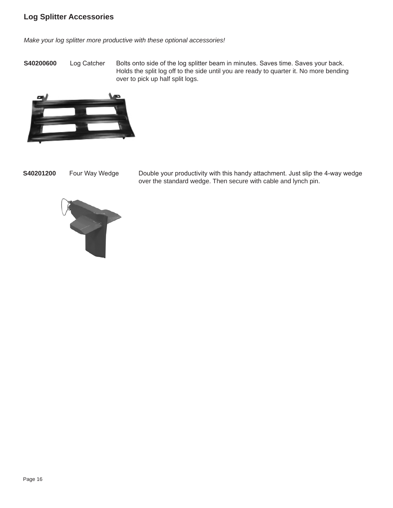#### **Log Splitter Accessories**

*Make your log splitter more productive with these optional accessories!*

**S40200600** Log Catcher Bolts onto side of the log splitter beam in minutes. Saves time. Saves your back. Holds the split log off to the side until you are ready to quarter it. No more bending over to pick up half split logs.



**S40201200** Four Way Wedge Double your productivity with this handy attachment. Just slip the 4-way wedge over the standard wedge. Then secure with cable and lynch pin.

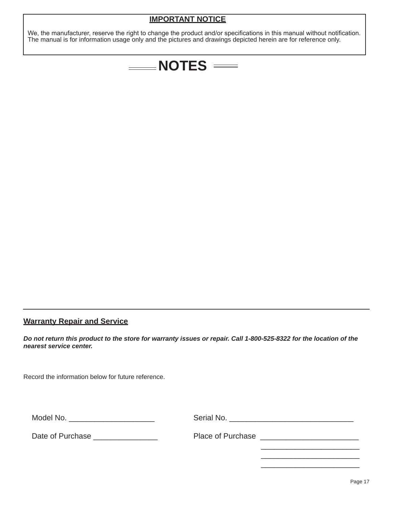#### **IMPORTANT NOTICE**

We, the manufacturer, reserve the right to change the product and/or specifications in this manual without notification. The manual is for information usage only and the pictures and drawings depicted herein are for reference only.

### $\equiv$ NOTES  $\equiv$

#### **Warranty Repair and Service**

*Do not return this product to the store for warranty issues or repair. Call 1-800-525-8322 for the location of the nearest service center.*

 $\overline{\phantom{a}}$  , and the contract of the contract of the contract of the contract of the contract of the contract of the contract of the contract of the contract of the contract of the contract of the contract of the contrac

Record the information below for future reference.

| Model No. |  |
|-----------|--|
|           |  |

Model No. \_\_\_\_\_\_\_\_\_\_\_\_\_\_\_\_\_\_\_\_ Serial No. \_\_\_\_\_\_\_\_\_\_\_\_\_\_\_\_\_\_\_\_\_\_\_\_\_\_\_\_\_

 $\frac{1}{2}$  ,  $\frac{1}{2}$  ,  $\frac{1}{2}$  ,  $\frac{1}{2}$  ,  $\frac{1}{2}$  ,  $\frac{1}{2}$  ,  $\frac{1}{2}$  ,  $\frac{1}{2}$  ,  $\frac{1}{2}$  ,  $\frac{1}{2}$  ,  $\frac{1}{2}$  ,  $\frac{1}{2}$  ,  $\frac{1}{2}$  ,  $\frac{1}{2}$  ,  $\frac{1}{2}$  ,  $\frac{1}{2}$  ,  $\frac{1}{2}$  ,  $\frac{1}{2}$  ,  $\frac{1$  $\frac{1}{2}$  ,  $\frac{1}{2}$  ,  $\frac{1}{2}$  ,  $\frac{1}{2}$  ,  $\frac{1}{2}$  ,  $\frac{1}{2}$  ,  $\frac{1}{2}$  ,  $\frac{1}{2}$  ,  $\frac{1}{2}$  ,  $\frac{1}{2}$  ,  $\frac{1}{2}$  ,  $\frac{1}{2}$  ,  $\frac{1}{2}$  ,  $\frac{1}{2}$  ,  $\frac{1}{2}$  ,  $\frac{1}{2}$  ,  $\frac{1}{2}$  ,  $\frac{1}{2}$  ,  $\frac{1$ 

Date of Purchase \_\_\_\_\_\_\_\_\_\_\_\_\_\_\_ Place of Purchase \_\_\_\_\_\_\_\_\_\_\_\_\_\_\_\_\_\_\_\_\_\_\_